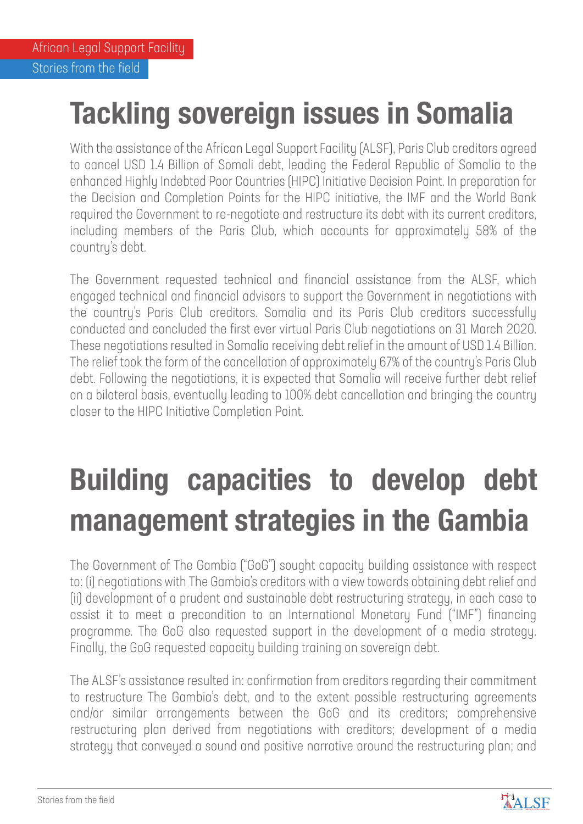## **Tackling sovereign issues in Somalia**

With the assistance of the African Legal Support Facility (ALSF), Paris Club creditors agreed to cancel USD 1.4 Billion of Somali debt, leading the Federal Republic of Somalia to the enhanced Highly Indebted Poor Countries (HIPC) Initiative Decision Point. In preparation for the Decision and Completion Points for the HIPC initiative, the IMF and the World Bank required the Government to re-negotiate and restructure its debt with its current creditors, including members of the Paris Club, which accounts for approximately 58% of the country's debt.

The Government requested technical and financial assistance from the ALSF, which engaged technical and financial advisors to support the Government in negotiations with the country's Paris Club creditors. Somalia and its Paris Club creditors successfully conducted and concluded the first ever virtual Paris Club negotiations on 31 March 2020. These negotiations resulted in Somalia receiving debt relief in the amount of USD 1.4 Billion. The relief took the form of the cancellation of approximately 67% of the country's Paris Club debt. Following the negotiations, it is expected that Somalia will receive further debt relief on a bilateral basis, eventually leading to 100% debt cancellation and bringing the country closer to the HIPC Initiative Completion Point.

## **Building capacities to develop debt management strategies in the Gambia**

The Government of The Gambia ("GoG") sought capacity building assistance with respect to: (i) negotiations with The Gambia's creditors with a view towards obtaining debt relief and (ii) development of a prudent and sustainable debt restructuring strategy, in each case to assist it to meet a precondition to an International Monetary Fund ("IMF") financing programme. The GoG also requested support in the development of a media strategy. Finally, the GoG requested capacity building training on sovereign debt.

The ALSF's assistance resulted in: confirmation from creditors regarding their commitment to restructure The Gambia's debt, and to the extent possible restructuring agreements and/or similar arrangements between the GoG and its creditors; comprehensive restructuring plan derived from negotiations with creditors; development of a media strategy that conveyed a sound and positive narrative around the restructuring plan; and